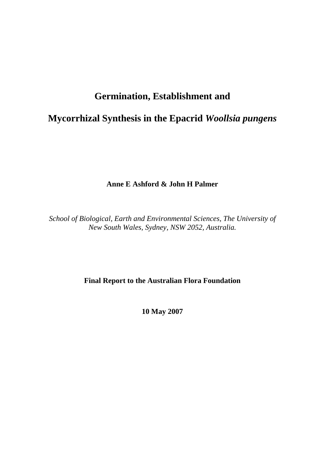# **Germination, Establishment and**

# **Mycorrhizal Synthesis in the Epacrid** *Woollsia pungens*

**Anne E Ashford & John H Palmer** 

*School of Biological, Earth and Environmental Sciences, The University of New South Wales, Sydney, NSW 2052, Australia.* 

# **Final Report to the Australian Flora Foundation**

**10 May 2007**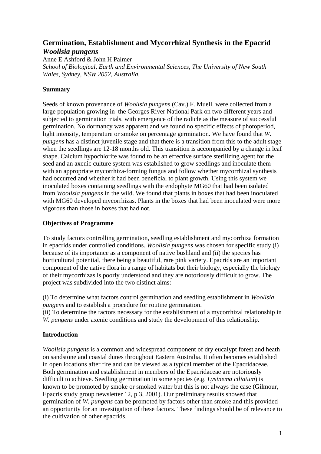# **Germination, Establishment and Mycorrhizal Synthesis in the Epacrid**  *Woollsia pungens*

Anne E Ashford & John H Palmer

*School of Biological, Earth and Environmental Sciences, The University of New South Wales, Sydney, NSW 2052, Australia.* 

# **Summary**

Seeds of known provenance of *Woollsia pungens* (Cav.) F. Muell. were collected from a large population growing in the Georges River National Park on two different years and subjected to germination trials, with emergence of the radicle as the measure of successful germination. No dormancy was apparent and we found no specific effects of photoperiod, light intensity, temperature or smoke on percentage germination. We have found that *W. pungens* has a distinct juvenile stage and that there is a transition from this to the adult stage when the seedlings are 12-18 months old. This transition is accompanied by a change in leaf shape. Calcium hypochlorite was found to be an effective surface sterilizing agent for the seed and an axenic culture system was established to grow seedlings and inoculate them with an appropriate mycorrhiza-forming fungus and follow whether mycorrhizal synthesis had occurred and whether it had been beneficial to plant growth. Using this system we inoculated boxes containing seedlings with the endophyte MG60 that had been isolated from *Woollsia pungens* in the wild. We found that plants in boxes that had been inoculated with MG60 developed mycorrhizas. Plants in the boxes that had been inoculated were more vigorous than those in boxes that had not.

## **Objectives of Programme**

To study factors controlling germination, seedling establishment and mycorrhiza formation in epacrids under controlled conditions. *Woollsia pungens* was chosen for specific study (i) because of its importance as a component of native bushland and (ii) the species has horticultural potential, there being a beautiful, rare pink variety. Epacrids are an important component of the native flora in a range of habitats but their biology, especially the biology of their mycorrhizas is poorly understood and they are notoriously difficult to grow. The project was subdivided into the two distinct aims:

(i) To determine what factors control germination and seedling establishment in *Woollsia pungens* and to establish a procedure for routine germination.

(ii) To determine the factors necessary for the establishment of a mycorrhizal relationship in *W. pungens* under axenic conditions and study the development of this relationship.

## **Introduction**

*Woollsia pungens* is a common and widespread component of dry eucalypt forest and heath on sandstone and coastal dunes throughout Eastern Australia. It often becomes established in open locations after fire and can be viewed as a typical member of the Epacridaceae. Both germination and establishment in members of the Epacridaceae are notoriously difficult to achieve. Seedling germination in some species (e.g. *Lysinema ciliatum*) is known to be promoted by smoke or smoked water but this is not always the case (Gilmour, Epacris study group newsletter 12, p 3, 2001). Our preliminary results showed that germination of *W. pungens* can be promoted by factors other than smoke and this provided an opportunity for an investigation of these factors. These findings should be of relevance to the cultivation of other epacrids.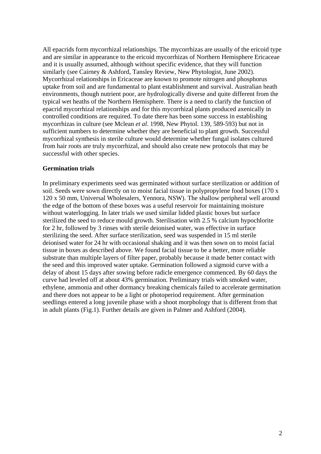All epacrids form mycorrhizal relationships. The mycorrhizas are usually of the ericoid type and are similar in appearance to the ericoid mycorrhizas of Northern Hemisphere Ericaceae and it is usually assumed, although without specific evidence, that they will function similarly (see Cairney & Ashford, Tansley Review, New Phytologist, June 2002). Mycorrhizal relationships in Ericaceae are known to promote nitrogen and phosphorus uptake from soil and are fundamental to plant establishment and survival. Australian heath environments, though nutrient poor, are hydrologically diverse and quite different from the typical wet heaths of the Northern Hemisphere. There is a need to clarify the function of epacrid mycorrhizal relationships and for this mycorrhizal plants produced axenically in controlled conditions are required. To date there has been some success in establishing mycorrhizas in culture (see Mclean *et al*. 1998, New Phytol. 139, 589-593) but not in sufficient numbers to determine whether they are beneficial to plant growth. Successful mycorrhizal synthesis in sterile culture would determine whether fungal isolates cultured from hair roots are truly mycorrhizal, and should also create new protocols that may be successful with other species.

#### **Germination trials**

In preliminary experiments seed was germinated without surface sterilization or addition of soil. Seeds were sown directly on to moist facial tissue in polypropylene food boxes (170 x 120 x 50 mm, Universal Wholesalers, Yennora, NSW). The shallow peripheral well around the edge of the bottom of these boxes was a useful reservoir for maintaining moisture without waterlogging. In later trials we used similar lidded plastic boxes but surface sterilized the seed to reduce mould growth. Sterilisation with 2.5 % calcium hypochlorite for 2 hr, followed by 3 rinses with sterile deionised water, was effective in surface sterilizing the seed. After surface sterilization, seed was suspended in 15 ml sterile deionised water for 24 hr with occasional shaking and it was then sown on to moist facial tissue in boxes as described above. We found facial tissue to be a better, more reliable substrate than multiple layers of filter paper, probably because it made better contact with the seed and this improved water uptake. Germination followed a sigmoid curve with a delay of about 15 days after sowing before radicle emergence commenced. By 60 days the curve had leveled off at about 43% germination. Preliminary trials with smoked water, ethylene, ammonia and other dormancy breaking chemicals failed to accelerate germination and there does not appear to be a light or photoperiod requirement. After germination seedlings entered a long juvenile phase with a shoot morphology that is different from that in adult plants (Fig.1). Further details are given in Palmer and Ashford (2004).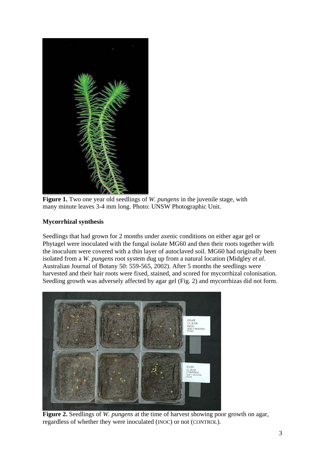

**Figure 1.** Two one year old seedlings of *W. pungens* in the juvenile stage, with many minute leaves 3-4 mm long. Photo: UNSW Photographic Unit.

# **Mycorrhizal synthesis**

Seedlings that had grown for 2 months under axenic conditions on either agar gel or Phytagel were inoculated with the fungal isolate MG60 and then their roots together with the inoculum were covered with a thin layer of autoclaved soil. MG60 had originally been isolated from a *W. pungens* root system dug up from a natural location (Midgley *et al*. Australian Journal of Botany 50: 559-565, 2002). After 5 months the seedlings were harvested and their hair roots were fixed, stained, and scored for mycorrhizal colonisation. Seedling growth was adversely affected by agar gel (Fig. 2) and mycorrhizas did not form.



**Figure 2.** Seedlings of *W. pungens* at the time of harvest showing poor growth on agar, regardless of whether they were inoculated (INOC) or not (CONTROL).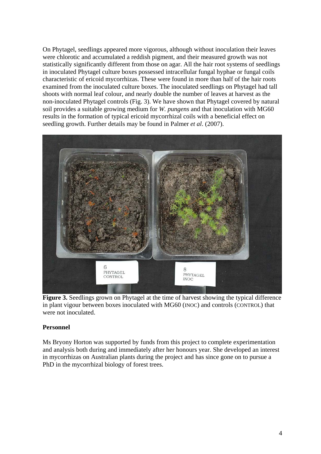On Phytagel, seedlings appeared more vigorous, although without inoculation their leaves were chlorotic and accumulated a reddish pigment, and their measured growth was not statistically significantly different from those on agar. All the hair root systems of seedlings in inoculated Phytagel culture boxes possessed intracellular fungal hyphae or fungal coils characteristic of ericoid mycorrhizas. These were found in more than half of the hair roots examined from the inoculated culture boxes. The inoculated seedlings on Phytagel had tall shoots with normal leaf colour, and nearly double the number of leaves at harvest as the non-inoculated Phytagel controls (Fig. 3). We have shown that Phytagel covered by natural soil provides a suitable growing medium for *W. pungens* and that inoculation with MG60 results in the formation of typical ericoid mycorrhizal coils with a beneficial effect on seedling growth. Further details may be found in Palmer *et al*. (2007).



**Figure 3.** Seedlings grown on Phytagel at the time of harvest showing the typical difference in plant vigour between boxes inoculated with MG60 (INOC) and controls (CONTROL) that were not inoculated.

## **Personnel**

Ms Bryony Horton was supported by funds from this project to complete experimentation and analysis both during and immediately after her honours year. She developed an interest in mycorrhizas on Australian plants during the project and has since gone on to pursue a PhD in the mycorrhizal biology of forest trees.